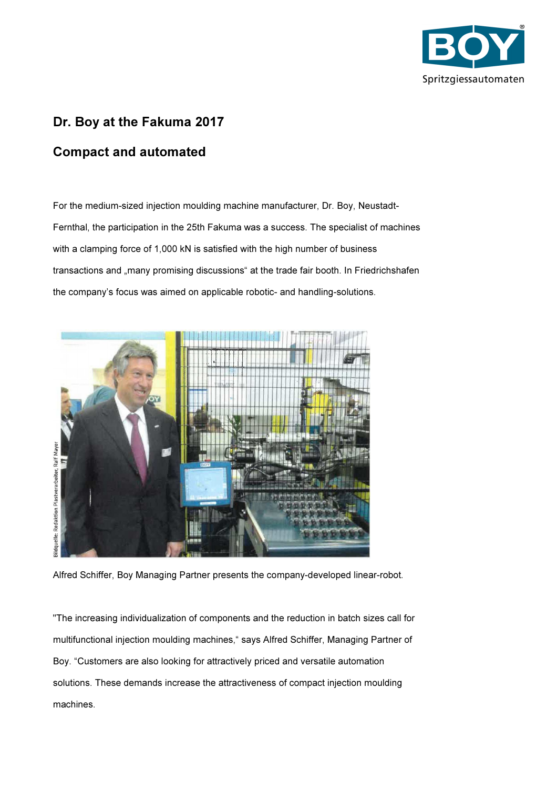

## Dr. Boy at the Fakuma 2017

## Compact and automated

For the medium-sized injection moulding machine manufacturer, Dr. Boy, Neustadt-Fernthal, the participation in the 25th Fakuma was a success. The specialist of machines with a clamping force of 1,000 kN is satisfied with the high number of business transactions and "many promising discussions" at the trade fair booth. In Friedrichshafen the company's focus was aimed on applicable robotic- and handling-solutions.



Alfred Schiffer, Boy Managing Partner presents the company-developed linear-robot.

"The increasing individualization of components and the reduction in batch sizes call for multifunctional injection moulding machines," says Alfred Schiffer, Managing Partner of Boy. "Customers are also looking for attractively priced and versatile automation solutions. These demands increase the attractiveness of compact injection moulding machines.